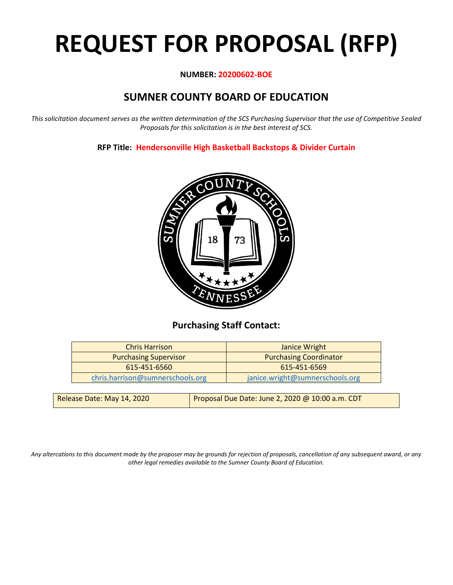# **REQUEST FOR PROPOSAL (RFP)**

#### **NUMBER: 20200602-BOE**

# **SUMNER COUNTY BOARD OF EDUCATION**

*This solicitation document serves as the written determination of the SCS Purchasing Supervisor that the use of Competitive Sealed Proposals for this solicitation is in the best interest of SCS.*

**RFP Title: Hendersonville High Basketball Backstops & Divider Curtain**



## **Purchasing Staff Contact:**

| <b>Chris Harrison</b>                                         | <b>Janice Wright</b>            |
|---------------------------------------------------------------|---------------------------------|
| <b>Purchasing Coordinator</b><br><b>Purchasing Supervisor</b> |                                 |
| 615-451-6560                                                  | 615-451-6569                    |
| chris.harrison@sumnerschools.org                              | janice.wright@sumnerschools.org |
|                                                               |                                 |

| Release Date: May 14, 2020 | Proposal Due Date: June 2, 2020 @ 10:00 a.m. CDT |
|----------------------------|--------------------------------------------------|
|                            |                                                  |

*Any altercations to this document made by the proposer may be grounds for rejection of proposals, cancellation of any subsequent award, or any other legal remedies available to the Sumner County Board of Education.*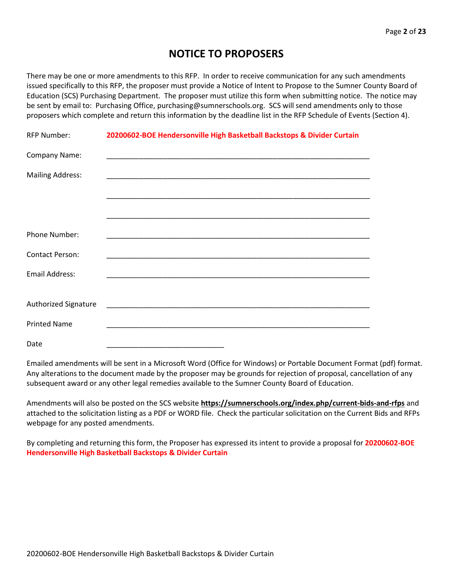## **NOTICE TO PROPOSERS**

There may be one or more amendments to this RFP. In order to receive communication for any such amendments issued specifically to this RFP, the proposer must provide a Notice of Intent to Propose to the Sumner County Board of Education (SCS) Purchasing Department. The proposer must utilize this form when submitting notice. The notice may be sent by email to: Purchasing Office, purchasing@sumnerschools.org. SCS will send amendments only to those proposers which complete and return this information by the deadline list in the RFP Schedule of Events (Section 4).

| <b>RFP Number:</b>          | 20200602-BOE Hendersonville High Basketball Backstops & Divider Curtain |
|-----------------------------|-------------------------------------------------------------------------|
| Company Name:               |                                                                         |
| <b>Mailing Address:</b>     |                                                                         |
|                             |                                                                         |
|                             |                                                                         |
| Phone Number:               |                                                                         |
| <b>Contact Person:</b>      |                                                                         |
| <b>Email Address:</b>       |                                                                         |
|                             |                                                                         |
| <b>Authorized Signature</b> |                                                                         |
| <b>Printed Name</b>         |                                                                         |
| Date                        |                                                                         |

Emailed amendments will be sent in a Microsoft Word (Office for Windows) or Portable Document Format (pdf) format. Any alterations to the document made by the proposer may be grounds for rejection of proposal, cancellation of any subsequent award or any other legal remedies available to the Sumner County Board of Education.

Amendments will also be posted on the SCS website **https://sumnerschools.org/index.php/current-bids-and-rfps** and attached to the solicitation listing as a PDF or WORD file. Check the particular solicitation on the Current Bids and RFPs webpage for any posted amendments.

By completing and returning this form, the Proposer has expressed its intent to provide a proposal for **20200602-BOE Hendersonville High Basketball Backstops & Divider Curtain**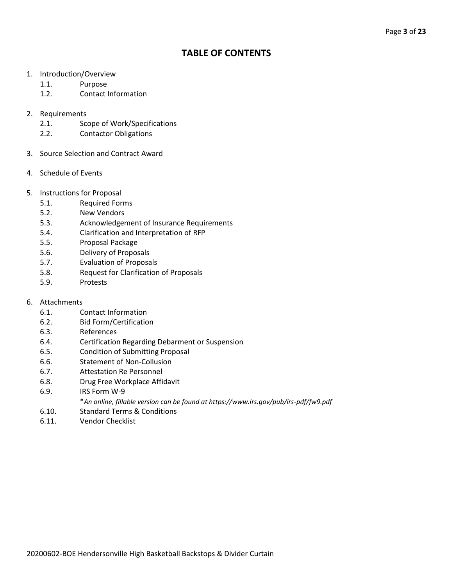## **TABLE OF CONTENTS**

- 1. Introduction/Overview
	- 1.1. Purpose
	- 1.2. Contact Information
- 2. Requirements
	- 2.1. Scope of Work/Specifications
	- 2.2. Contactor Obligations
- 3. Source Selection and Contract Award
- 4. Schedule of Events
- 5. Instructions for Proposal
	- 5.1. Required Forms
	- 5.2. New Vendors
	- 5.3. Acknowledgement of Insurance Requirements
	- 5.4. Clarification and Interpretation of RFP
	- 5.5. Proposal Package
	- 5.6. Delivery of Proposals
	- 5.7. Evaluation of Proposals
	- 5.8. Request for Clarification of Proposals
	- 5.9. Protests
- 6. Attachments
	- 6.1. Contact Information
	- 6.2. Bid Form/Certification
	- 6.3. References
	- 6.4. Certification Regarding Debarment or Suspension
	- 6.5. Condition of Submitting Proposal
	- 6.6. Statement of Non-Collusion
	- 6.7. Attestation Re Personnel
	- 6.8. Drug Free Workplace Affidavit
	- 6.9. IRS Form W-9
		- \**An online, fillable version can be found at https://www.irs.gov/pub/irs-pdf/fw9.pdf*
	- 6.10. Standard Terms & Conditions
	- 6.11. Vendor Checklist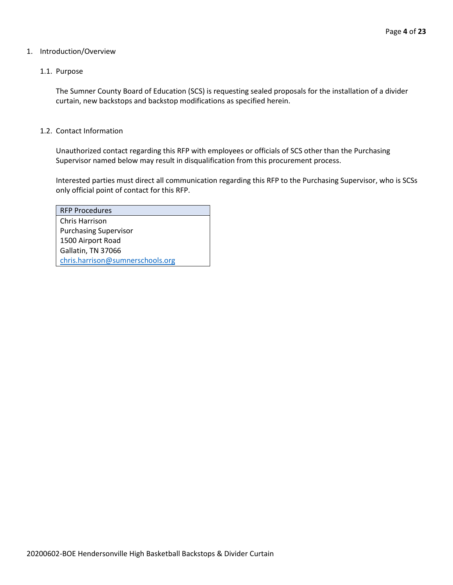#### 1. Introduction/Overview

#### 1.1. Purpose

The Sumner County Board of Education (SCS) is requesting sealed proposals for the installation of a divider curtain, new backstops and backstop modifications as specified herein.

#### 1.2. Contact Information

Unauthorized contact regarding this RFP with employees or officials of SCS other than the Purchasing Supervisor named below may result in disqualification from this procurement process.

Interested parties must direct all communication regarding this RFP to the Purchasing Supervisor, who is SCSs only official point of contact for this RFP.

| <b>RFP Procedures</b>            |
|----------------------------------|
| Chris Harrison                   |
| <b>Purchasing Supervisor</b>     |
| 1500 Airport Road                |
| Gallatin, TN 37066               |
| chris.harrison@sumnerschools.org |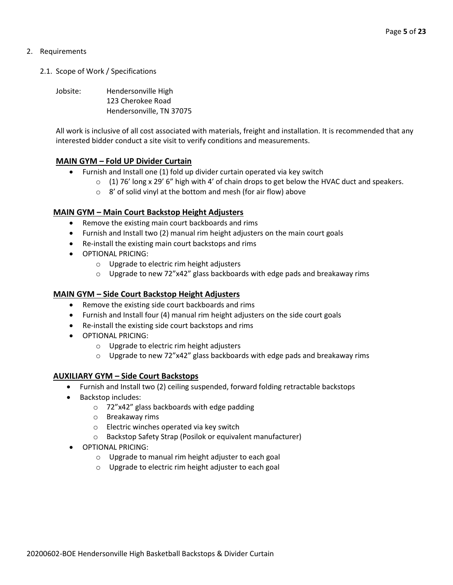#### 2. Requirements

- 2.1. Scope of Work / Specifications
	- Jobsite: Hendersonville High 123 Cherokee Road Hendersonville, TN 37075

All work is inclusive of all cost associated with materials, freight and installation. It is recommended that any interested bidder conduct a site visit to verify conditions and measurements.

#### **MAIN GYM – Fold UP Divider Curtain**

- Furnish and Install one (1) fold up divider curtain operated via key switch
	- $\circ$  (1) 76' long x 29' 6" high with 4' of chain drops to get below the HVAC duct and speakers.
	- o 8' of solid vinyl at the bottom and mesh (for air flow) above

#### **MAIN GYM – Main Court Backstop Height Adjusters**

- Remove the existing main court backboards and rims
- Furnish and Install two (2) manual rim height adjusters on the main court goals
- Re-install the existing main court backstops and rims
- OPTIONAL PRICING:
	- o Upgrade to electric rim height adjusters
	- o Upgrade to new 72"x42" glass backboards with edge pads and breakaway rims

#### **MAIN GYM – Side Court Backstop Height Adjusters**

- Remove the existing side court backboards and rims
- Furnish and Install four (4) manual rim height adjusters on the side court goals
- Re-install the existing side court backstops and rims
- OPTIONAL PRICING:
	- o Upgrade to electric rim height adjusters
	- o Upgrade to new 72"x42" glass backboards with edge pads and breakaway rims

#### **AUXILIARY GYM – Side Court Backstops**

- Furnish and Install two (2) ceiling suspended, forward folding retractable backstops
- Backstop includes:
	- o 72"x42" glass backboards with edge padding
	- o Breakaway rims
	- o Electric winches operated via key switch
	- o Backstop Safety Strap (Posilok or equivalent manufacturer)
- OPTIONAL PRICING:
	- o Upgrade to manual rim height adjuster to each goal
	- o Upgrade to electric rim height adjuster to each goal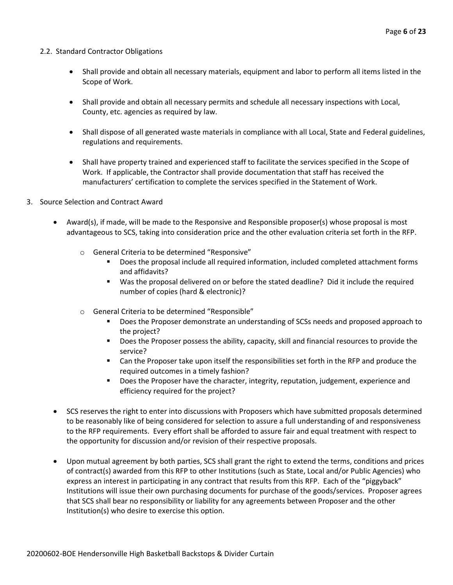#### 2.2. Standard Contractor Obligations

- Shall provide and obtain all necessary materials, equipment and labor to perform all items listed in the Scope of Work.
- Shall provide and obtain all necessary permits and schedule all necessary inspections with Local, County, etc. agencies as required by law.
- Shall dispose of all generated waste materials in compliance with all Local, State and Federal guidelines, regulations and requirements.
- Shall have property trained and experienced staff to facilitate the services specified in the Scope of Work. If applicable, the Contractor shall provide documentation that staff has received the manufacturers' certification to complete the services specified in the Statement of Work.
- 3. Source Selection and Contract Award
	- Award(s), if made, will be made to the Responsive and Responsible proposer(s) whose proposal is most advantageous to SCS, taking into consideration price and the other evaluation criteria set forth in the RFP.
		- o General Criteria to be determined "Responsive"
			- Does the proposal include all required information, included completed attachment forms and affidavits?
			- Was the proposal delivered on or before the stated deadline? Did it include the required number of copies (hard & electronic)?
		- o General Criteria to be determined "Responsible"
			- Does the Proposer demonstrate an understanding of SCSs needs and proposed approach to the project?
			- Does the Proposer possess the ability, capacity, skill and financial resources to provide the service?
			- Can the Proposer take upon itself the responsibilities set forth in the RFP and produce the required outcomes in a timely fashion?
			- **■** Does the Proposer have the character, integrity, reputation, judgement, experience and efficiency required for the project?
	- SCS reserves the right to enter into discussions with Proposers which have submitted proposals determined to be reasonably like of being considered for selection to assure a full understanding of and responsiveness to the RFP requirements. Every effort shall be afforded to assure fair and equal treatment with respect to the opportunity for discussion and/or revision of their respective proposals.
	- Upon mutual agreement by both parties, SCS shall grant the right to extend the terms, conditions and prices of contract(s) awarded from this RFP to other Institutions (such as State, Local and/or Public Agencies) who express an interest in participating in any contract that results from this RFP. Each of the "piggyback" Institutions will issue their own purchasing documents for purchase of the goods/services. Proposer agrees that SCS shall bear no responsibility or liability for any agreements between Proposer and the other Institution(s) who desire to exercise this option.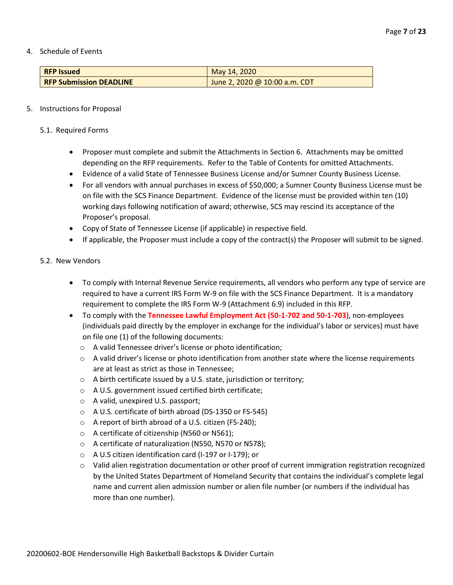4. Schedule of Events

| <b>RFP Issued</b>              | May 14, 2020                  |
|--------------------------------|-------------------------------|
| <b>RFP Submission DEADLINE</b> | June 2, 2020 @ 10:00 a.m. CDT |

#### 5. Instructions for Proposal

- 5.1. Required Forms
	- Proposer must complete and submit the Attachments in Section 6. Attachments may be omitted depending on the RFP requirements. Refer to the Table of Contents for omitted Attachments.
	- Evidence of a valid State of Tennessee Business License and/or Sumner County Business License.
	- For all vendors with annual purchases in excess of \$50,000; a Sumner County Business License must be on file with the SCS Finance Department. Evidence of the license must be provided within ten (10) working days following notification of award; otherwise, SCS may rescind its acceptance of the Proposer's proposal.
	- Copy of State of Tennessee License (if applicable) in respective field.
	- If applicable, the Proposer must include a copy of the contract(s) the Proposer will submit to be signed.

#### 5.2. New Vendors

- To comply with Internal Revenue Service requirements, all vendors who perform any type of service are required to have a current IRS Form W-9 on file with the SCS Finance Department. It is a mandatory requirement to complete the IRS Form W-9 (Attachment 6.9) included in this RFP.
- To comply with the **Tennessee Lawful Employment Act (50-1-702 and 50-1-703)**, non-employees (individuals paid directly by the employer in exchange for the individual's labor or services) must have on file one (1) of the following documents:
	- o A valid Tennessee driver's license or photo identification;
	- $\circ$  A valid driver's license or photo identification from another state where the license requirements are at least as strict as those in Tennessee;
	- o A birth certificate issued by a U.S. state, jurisdiction or territory;
	- o A U.S. government issued certified birth certificate;
	- o A valid, unexpired U.S. passport;
	- o A U.S. certificate of birth abroad (DS-1350 or FS-545)
	- o A report of birth abroad of a U.S. citizen (FS-240);
	- o A certificate of citizenship (N560 or N561);
	- o A certificate of naturalization (N550, N570 or N578);
	- o A U.S citizen identification card (I-197 or I-179); or
	- o Valid alien registration documentation or other proof of current immigration registration recognized by the United States Department of Homeland Security that contains the individual's complete legal name and current alien admission number or alien file number (or numbers if the individual has more than one number).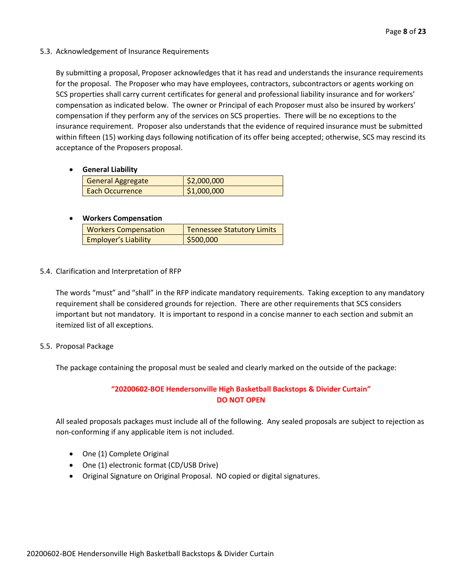5.3. Acknowledgement of Insurance Requirements

By submitting a proposal, Proposer acknowledges that it has read and understands the insurance requirements for the proposal. The Proposer who may have employees, contractors, subcontractors or agents working on SCS properties shall carry current certificates for general and professional liability insurance and for workers' compensation as indicated below. The owner or Principal of each Proposer must also be insured by workers' compensation if they perform any of the services on SCS properties. There will be no exceptions to the insurance requirement. Proposer also understands that the evidence of required insurance must be submitted within fifteen (15) working days following notification of its offer being accepted; otherwise, SCS may rescind its acceptance of the Proposers proposal.

• **General Liability**

| <b>General Aggregate</b> | \$2,000,000 |
|--------------------------|-------------|
| <b>Each Occurrence</b>   | \$1,000,000 |

#### • **Workers Compensation**

| <b>Workers Compensation</b> | <b>Tennessee Statutory Limits</b> |
|-----------------------------|-----------------------------------|
| <b>Employer's Liability</b> | \$500,000                         |

5.4. Clarification and Interpretation of RFP

The words "must" and "shall" in the RFP indicate mandatory requirements. Taking exception to any mandatory requirement shall be considered grounds for rejection. There are other requirements that SCS considers important but not mandatory. It is important to respond in a concise manner to each section and submit an itemized list of all exceptions.

5.5. Proposal Package

The package containing the proposal must be sealed and clearly marked on the outside of the package:

#### **"20200602-BOE Hendersonville High Basketball Backstops & Divider Curtain" DO NOT OPEN**

All sealed proposals packages must include all of the following. Any sealed proposals are subject to rejection as non-conforming if any applicable item is not included.

- One (1) Complete Original
- One (1) electronic format (CD/USB Drive)
- Original Signature on Original Proposal. NO copied or digital signatures.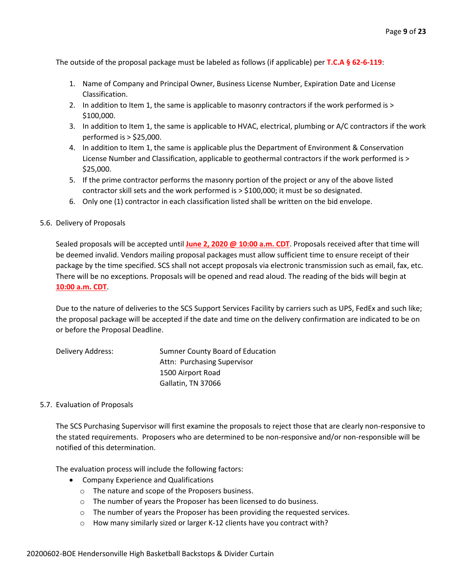The outside of the proposal package must be labeled as follows (if applicable) per **T.C.A § 62-6-119**:

- 1. Name of Company and Principal Owner, Business License Number, Expiration Date and License Classification.
- 2. In addition to Item 1, the same is applicable to masonry contractors if the work performed is > \$100,000.
- 3. In addition to Item 1, the same is applicable to HVAC, electrical, plumbing or A/C contractors if the work performed is > \$25,000.
- 4. In addition to Item 1, the same is applicable plus the Department of Environment & Conservation License Number and Classification, applicable to geothermal contractors if the work performed is > \$25,000.
- 5. If the prime contractor performs the masonry portion of the project or any of the above listed contractor skill sets and the work performed is > \$100,000; it must be so designated.
- 6. Only one (1) contractor in each classification listed shall be written on the bid envelope.

#### 5.6. Delivery of Proposals

Sealed proposals will be accepted until **June 2, 2020 @ 10:00 a.m. CDT**. Proposals received after that time will be deemed invalid. Vendors mailing proposal packages must allow sufficient time to ensure receipt of their package by the time specified. SCS shall not accept proposals via electronic transmission such as email, fax, etc. There will be no exceptions. Proposals will be opened and read aloud. The reading of the bids will begin at **10:00 a.m. CDT**.

Due to the nature of deliveries to the SCS Support Services Facility by carriers such as UPS, FedEx and such like; the proposal package will be accepted if the date and time on the delivery confirmation are indicated to be on or before the Proposal Deadline.

| Delivery Address: | Sumner County Board of Education |
|-------------------|----------------------------------|
|                   | Attn: Purchasing Supervisor      |
|                   | 1500 Airport Road                |
|                   | Gallatin, TN 37066               |

#### 5.7. Evaluation of Proposals

The SCS Purchasing Supervisor will first examine the proposals to reject those that are clearly non-responsive to the stated requirements. Proposers who are determined to be non-responsive and/or non-responsible will be notified of this determination.

The evaluation process will include the following factors:

- Company Experience and Qualifications
	- o The nature and scope of the Proposers business.
	- o The number of years the Proposer has been licensed to do business.
	- o The number of years the Proposer has been providing the requested services.
	- o How many similarly sized or larger K-12 clients have you contract with?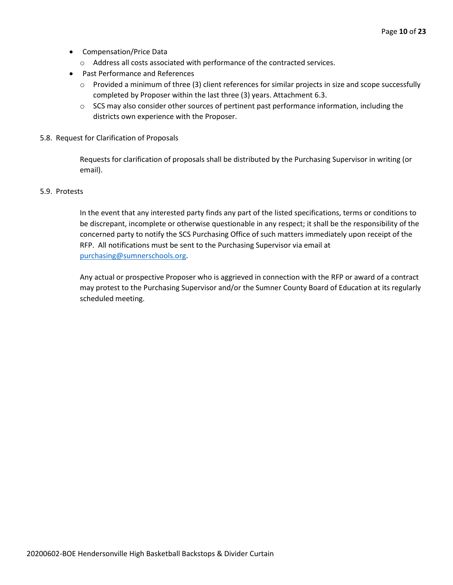- Compensation/Price Data
	- o Address all costs associated with performance of the contracted services.
- Past Performance and References
	- o Provided a minimum of three (3) client references for similar projects in size and scope successfully completed by Proposer within the last three (3) years. Attachment 6.3.
	- $\circ$  SCS may also consider other sources of pertinent past performance information, including the districts own experience with the Proposer.
- 5.8. Request for Clarification of Proposals

Requests for clarification of proposals shall be distributed by the Purchasing Supervisor in writing (or email).

#### 5.9. Protests

In the event that any interested party finds any part of the listed specifications, terms or conditions to be discrepant, incomplete or otherwise questionable in any respect; it shall be the responsibility of the concerned party to notify the SCS Purchasing Office of such matters immediately upon receipt of the RFP. All notifications must be sent to the Purchasing Supervisor via email at [purchasing@sumnerschools.org.](mailto:purchasing@sumnerschools.org)

Any actual or prospective Proposer who is aggrieved in connection with the RFP or award of a contract may protest to the Purchasing Supervisor and/or the Sumner County Board of Education at its regularly scheduled meeting.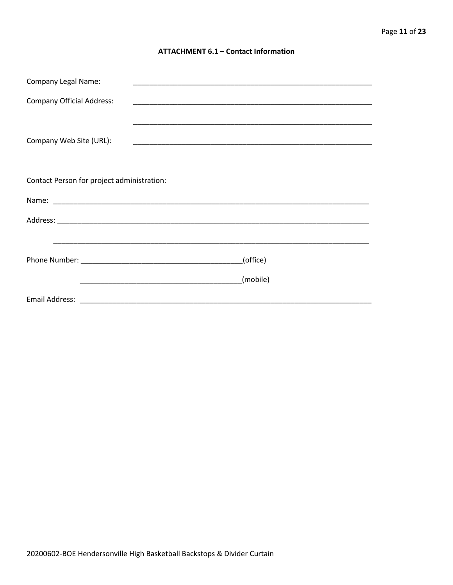#### **ATTACHMENT 6.1 - Contact Information**

| <b>Company Legal Name:</b>                 | <u> 1989 - Johann John Stoff, deutscher Stoffen und der Stoffen und der Stoffen und der Stoffen und der Stoffen u</u> |  |  |
|--------------------------------------------|-----------------------------------------------------------------------------------------------------------------------|--|--|
| <b>Company Official Address:</b>           |                                                                                                                       |  |  |
|                                            |                                                                                                                       |  |  |
| Company Web Site (URL):                    |                                                                                                                       |  |  |
|                                            |                                                                                                                       |  |  |
|                                            |                                                                                                                       |  |  |
| Contact Person for project administration: |                                                                                                                       |  |  |
|                                            |                                                                                                                       |  |  |
|                                            |                                                                                                                       |  |  |
|                                            |                                                                                                                       |  |  |
| (office)                                   |                                                                                                                       |  |  |
|                                            |                                                                                                                       |  |  |
|                                            | (mobile)                                                                                                              |  |  |
|                                            | Email Address: 2008. 2009. 2009. 2009. 2010. 2010. 2010. 2010. 2010. 2010. 2010. 2010. 2010. 2010. 2010. 2010         |  |  |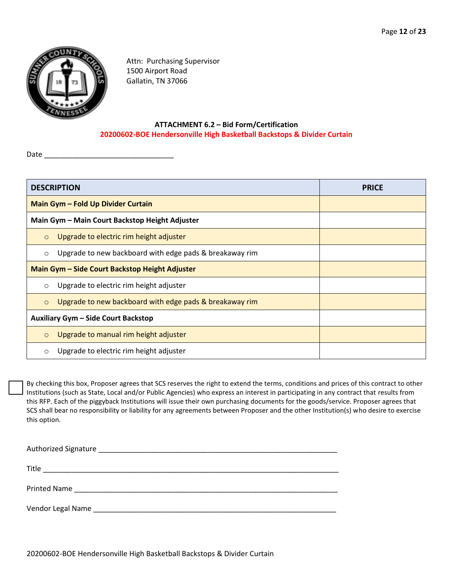

Attn: Purchasing Supervisor 1500 Airport Road Gallatin, TN 37066

#### **ATTACHMENT 6.2 – Bid Form/Certification 20200602-BOE Hendersonville High Basketball Backstops & Divider Curtain**

Date  $\overline{\phantom{a}}$ 

| <b>DESCRIPTION</b>                             |                                                         | <b>PRICE</b> |  |
|------------------------------------------------|---------------------------------------------------------|--------------|--|
|                                                | Main Gym - Fold Up Divider Curtain                      |              |  |
|                                                | Main Gym - Main Court Backstop Height Adjuster          |              |  |
| $\circ$                                        | Upgrade to electric rim height adjuster                 |              |  |
| $\circ$                                        | Upgrade to new backboard with edge pads & breakaway rim |              |  |
| Main Gym - Side Court Backstop Height Adjuster |                                                         |              |  |
| $\circ$                                        | Upgrade to electric rim height adjuster                 |              |  |
| $\circ$                                        | Upgrade to new backboard with edge pads & breakaway rim |              |  |
|                                                | Auxiliary Gym - Side Court Backstop                     |              |  |
| $\circ$                                        | Upgrade to manual rim height adjuster                   |              |  |
| $\circ$                                        | Upgrade to electric rim height adjuster                 |              |  |

By checking this box, Proposer agrees that SCS reserves the right to extend the terms, conditions and prices of this contract to other Institutions (such as State, Local and/or Public Agencies) who express an interest in participating in any contract that results from this RFP. Each of the piggyback Institutions will issue their own purchasing documents for the goods/service. Proposer agrees that SCS shall bear no responsibility or liability for any agreements between Proposer and the other Institution(s) who desire to exercise this option.

| Title<br>the control of the control of the control of the control of the control of the control of the control of the control of the control of the control of the control of the control of the control of the control of the control |
|----------------------------------------------------------------------------------------------------------------------------------------------------------------------------------------------------------------------------------------|
|                                                                                                                                                                                                                                        |
| Vendor Legal Name                                                                                                                                                                                                                      |

20200602-BOE Hendersonville High Basketball Backstops & Divider Curtain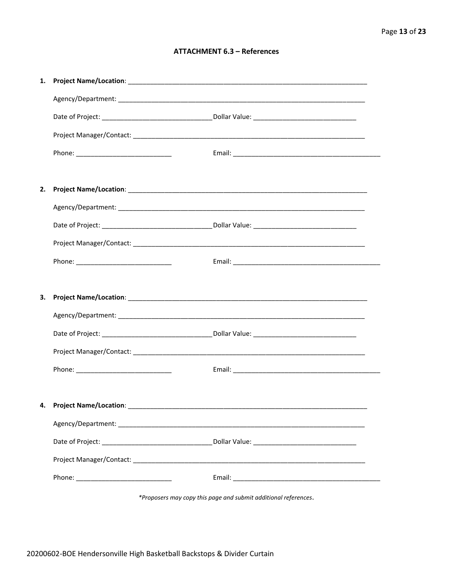#### **ATTACHMENT 6.3 - References**

| 1. |                                    |  |
|----|------------------------------------|--|
|    |                                    |  |
|    |                                    |  |
|    |                                    |  |
|    |                                    |  |
|    |                                    |  |
| 2. |                                    |  |
|    |                                    |  |
|    |                                    |  |
|    |                                    |  |
|    |                                    |  |
|    |                                    |  |
| З. |                                    |  |
|    |                                    |  |
|    |                                    |  |
|    |                                    |  |
|    |                                    |  |
|    |                                    |  |
|    | 4. Project Name/Location: ________ |  |
|    |                                    |  |
|    |                                    |  |
|    |                                    |  |
|    |                                    |  |
|    |                                    |  |

\*Proposers may copy this page and submit additional references.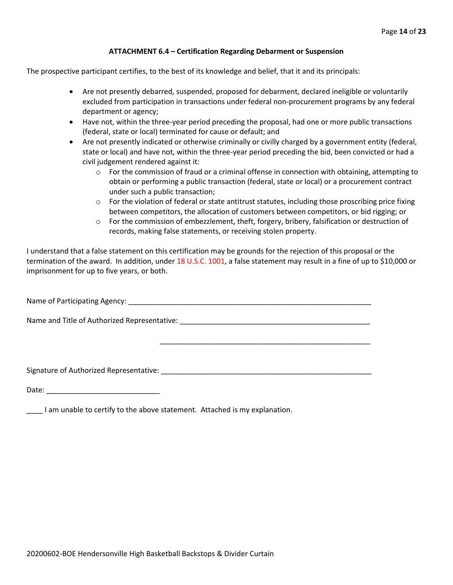#### **ATTACHMENT 6.4 – Certification Regarding Debarment or Suspension**

The prospective participant certifies, to the best of its knowledge and belief, that it and its principals:

- Are not presently debarred, suspended, proposed for debarment, declared ineligible or voluntarily excluded from participation in transactions under federal non-procurement programs by any federal department or agency;
- Have not, within the three-year period preceding the proposal, had one or more public transactions (federal, state or local) terminated for cause or default; and
- Are not presently indicated or otherwise criminally or civilly charged by a government entity (federal, state or local) and have not, within the three-year period preceding the bid, been convicted or had a civil judgement rendered against it:
	- $\circ$  For the commission of fraud or a criminal offense in connection with obtaining, attempting to obtain or performing a public transaction (federal, state or local) or a procurement contract under such a public transaction;
	- $\circ$  For the violation of federal or state antitrust statutes, including those proscribing price fixing between competitors, the allocation of customers between competitors, or bid rigging; or
	- $\circ$  For the commission of embezzlement, theft, forgery, bribery, falsification or destruction of records, making false statements, or receiving stolen property.

\_\_\_\_\_\_\_\_\_\_\_\_\_\_\_\_\_\_\_\_\_\_\_\_\_\_\_\_\_\_\_\_\_\_\_\_\_\_\_\_\_\_\_\_\_\_\_\_\_\_\_\_

I understand that a false statement on this certification may be grounds for the rejection of this proposal or the termination of the award. In addition, under 18 U.S.C. 1001, a false statement may result in a fine of up to \$10,000 or imprisonment for up to five years, or both.

Name of Participating Agency: \_\_\_\_\_\_\_\_\_\_\_\_\_\_\_\_\_\_\_\_\_\_\_\_\_\_\_\_\_\_\_\_\_\_\_\_\_\_\_\_\_\_\_\_\_\_\_\_\_\_\_\_\_\_\_\_\_\_\_\_

Name and Title of Authorized Representative: \_\_\_\_\_\_\_\_\_\_\_\_\_\_\_\_\_\_\_\_\_\_\_\_\_\_\_\_\_\_\_\_\_\_\_\_\_\_\_\_\_\_\_\_\_\_\_

Signature of Authorized Representative: \_\_\_\_\_\_\_\_\_\_\_\_\_\_\_\_\_\_\_\_\_\_\_\_\_\_\_\_\_\_\_\_\_\_\_\_\_\_\_\_\_\_\_\_\_\_\_\_\_\_\_\_

Date: \_\_\_\_\_\_\_\_\_\_\_\_\_\_\_\_\_\_\_\_\_\_\_\_\_\_\_\_

\_\_\_\_ I am unable to certify to the above statement. Attached is my explanation.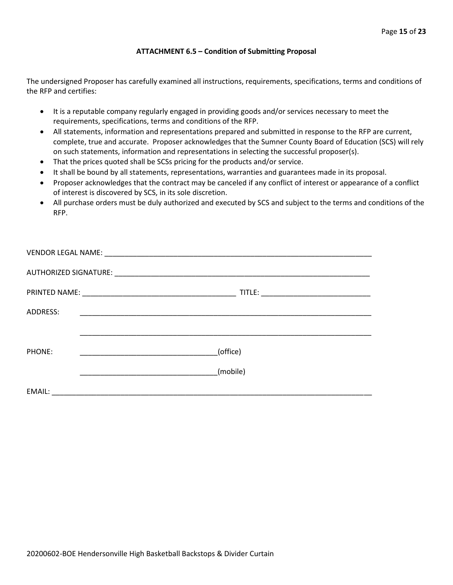#### **ATTACHMENT 6.5 – Condition of Submitting Proposal**

The undersigned Proposer has carefully examined all instructions, requirements, specifications, terms and conditions of the RFP and certifies:

- It is a reputable company regularly engaged in providing goods and/or services necessary to meet the requirements, specifications, terms and conditions of the RFP.
- All statements, information and representations prepared and submitted in response to the RFP are current, complete, true and accurate. Proposer acknowledges that the Sumner County Board of Education (SCS) will rely on such statements, information and representations in selecting the successful proposer(s).
- That the prices quoted shall be SCSs pricing for the products and/or service.
- It shall be bound by all statements, representations, warranties and guarantees made in its proposal.
- Proposer acknowledges that the contract may be canceled if any conflict of interest or appearance of a conflict of interest is discovered by SCS, in its sole discretion.
- All purchase orders must be duly authorized and executed by SCS and subject to the terms and conditions of the RFP.

| ADDRESS: | <u> 1989 - Johann John Stone, Amerikaansk politiker (* 1950)</u>                                                                 |
|----------|----------------------------------------------------------------------------------------------------------------------------------|
|          |                                                                                                                                  |
| PHONE:   | (office)<br><u> 1990 - Johann John Harry Harry Harry Harry Harry Harry Harry Harry Harry Harry Harry Harry Harry Harry Harry</u> |
|          | (mobile)                                                                                                                         |
|          |                                                                                                                                  |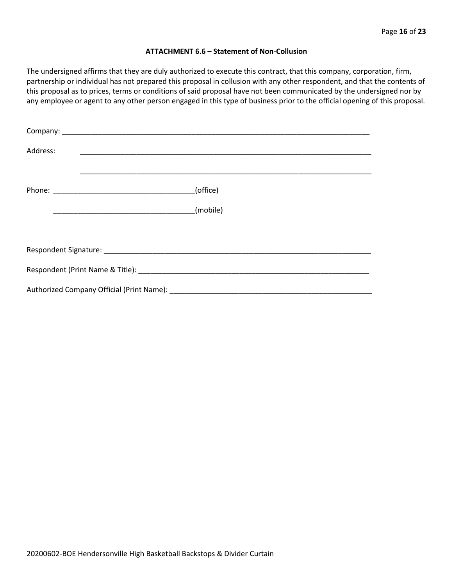#### **ATTACHMENT 6.6 – Statement of Non-Collusion**

The undersigned affirms that they are duly authorized to execute this contract, that this company, corporation, firm, partnership or individual has not prepared this proposal in collusion with any other respondent, and that the contents of this proposal as to prices, terms or conditions of said proposal have not been communicated by the undersigned nor by any employee or agent to any other person engaged in this type of business prior to the official opening of this proposal.

| Address: |          |  |  |  |  |  |
|----------|----------|--|--|--|--|--|
|          | (office) |  |  |  |  |  |
|          | (mobile) |  |  |  |  |  |
|          |          |  |  |  |  |  |
|          |          |  |  |  |  |  |
|          |          |  |  |  |  |  |
|          |          |  |  |  |  |  |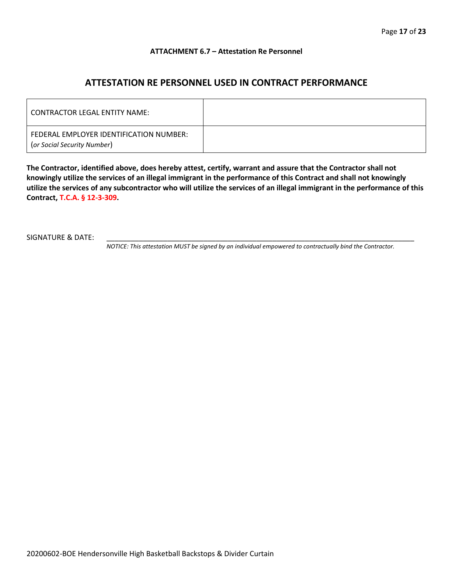#### **ATTACHMENT 6.7 – Attestation Re Personnel**

### **ATTESTATION RE PERSONNEL USED IN CONTRACT PERFORMANCE**

| CONTRACTOR LEGAL ENTITY NAME:                                          |  |
|------------------------------------------------------------------------|--|
| FEDERAL EMPLOYER IDENTIFICATION NUMBER:<br>(or Social Security Number) |  |

**The Contractor, identified above, does hereby attest, certify, warrant and assure that the Contractor shall not knowingly utilize the services of an illegal immigrant in the performance of this Contract and shall not knowingly utilize the services of any subcontractor who will utilize the services of an illegal immigrant in the performance of this Contract, T.C.A. § 12-3-309.**

SIGNATURE & DATE:

*NOTICE: This attestation MUST be signed by an individual empowered to contractually bind the Contractor.*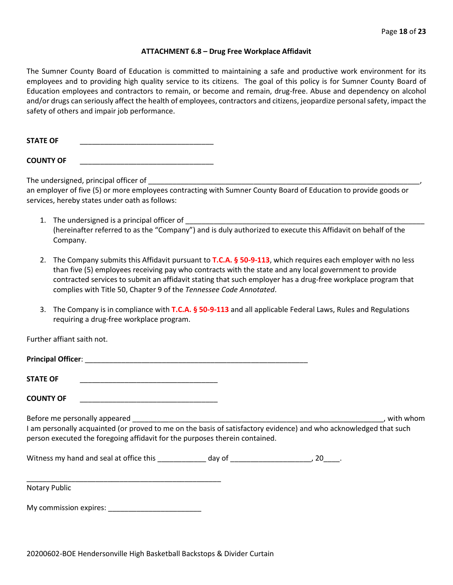#### **ATTACHMENT 6.8 – Drug Free Workplace Affidavit**

The Sumner County Board of Education is committed to maintaining a safe and productive work environment for its employees and to providing high quality service to its citizens. The goal of this policy is for Sumner County Board of Education employees and contractors to remain, or become and remain, drug-free. Abuse and dependency on alcohol and/or drugs can seriously affect the health of employees, contractors and citizens, jeopardize personal safety, impact the safety of others and impair job performance.

STATE OF

**COUNTY OF** \_\_\_\_\_\_\_\_\_\_\_\_\_\_\_\_\_\_\_\_\_\_\_\_\_\_\_\_\_\_\_\_\_

The undersigned, principal officer of

an employer of five (5) or more employees contracting with Sumner County Board of Education to provide goods or services, hereby states under oath as follows:

- 1. The undersigned is a principal officer of (hereinafter referred to as the "Company") and is duly authorized to execute this Affidavit on behalf of the Company.
- 2. The Company submits this Affidavit pursuant to **T.C.A. § 50-9-113**, which requires each employer with no less than five (5) employees receiving pay who contracts with the state and any local government to provide contracted services to submit an affidavit stating that such employer has a drug-free workplace program that complies with Title 50, Chapter 9 of the *Tennessee Code Annotated*.
- 3. The Company is in compliance with **T.C.A. § 50-9-113** and all applicable Federal Laws, Rules and Regulations requiring a drug-free workplace program.

Further affiant saith not.

| <b>Principal Officer:</b> |  |
|---------------------------|--|
| <b>STATE OF</b>           |  |
|                           |  |

**COUNTY OF** \_\_\_\_\_\_\_\_\_\_\_\_\_\_\_\_\_\_\_\_\_\_\_\_\_\_\_\_\_\_\_\_\_\_

Before me personally appeared \_\_\_\_\_\_\_\_\_\_\_\_\_\_\_\_\_\_\_\_\_\_\_\_\_\_\_\_\_\_\_\_\_\_\_\_\_\_\_\_\_\_\_\_\_\_\_\_\_\_\_\_\_\_\_\_\_\_\_\_\_\_, with whom I am personally acquainted (or proved to me on the basis of satisfactory evidence) and who acknowledged that such person executed the foregoing affidavit for the purposes therein contained.

Witness my hand and seal at office this \_\_\_\_\_\_\_\_\_\_\_\_\_ day of \_\_\_\_\_\_\_\_\_\_\_\_\_\_\_\_\_\_\_\_\_, 20\_\_\_\_.

\_\_\_\_\_\_\_\_\_\_\_\_\_\_\_\_\_\_\_\_\_\_\_\_\_\_\_\_\_\_\_\_\_\_\_\_\_\_\_\_\_\_\_\_\_\_\_\_ Notary Public

My commission expires: \_\_\_\_\_\_\_\_\_\_\_\_\_\_\_\_\_\_\_\_\_\_\_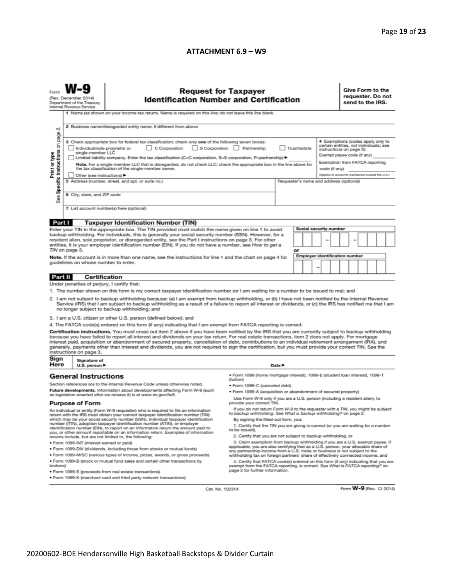#### **ATTACHMENT 6.9 – W9**

|                                                                                                                                                                                                                                                                                                                                                                                                                                                                                                                                                                                                                                                                                  | <b>Request for Taxpayer</b><br><b>Identification Number and Certification</b><br>(Rev. December 2014)<br>Department of the Treasury<br>Internal Revenue Service                                                                                                                                                                                                                                                                                                                                                                                                   |                                                                                                                                          |                                                                                                                                                                                                               |        |    |  |                                       |                                                                                                                                                                                                                              | Give Form to the<br>requester. Do not<br>send to the IRS. |  |  |  |                         |  |  |
|----------------------------------------------------------------------------------------------------------------------------------------------------------------------------------------------------------------------------------------------------------------------------------------------------------------------------------------------------------------------------------------------------------------------------------------------------------------------------------------------------------------------------------------------------------------------------------------------------------------------------------------------------------------------------------|-------------------------------------------------------------------------------------------------------------------------------------------------------------------------------------------------------------------------------------------------------------------------------------------------------------------------------------------------------------------------------------------------------------------------------------------------------------------------------------------------------------------------------------------------------------------|------------------------------------------------------------------------------------------------------------------------------------------|---------------------------------------------------------------------------------------------------------------------------------------------------------------------------------------------------------------|--------|----|--|---------------------------------------|------------------------------------------------------------------------------------------------------------------------------------------------------------------------------------------------------------------------------|-----------------------------------------------------------|--|--|--|-------------------------|--|--|
| N                                                                                                                                                                                                                                                                                                                                                                                                                                                                                                                                                                                                                                                                                | 1 Name (as shown on your income tax return). Name is required on this line; do not leave this line blank.<br>2 Business name/disregarded entity name, if different from above                                                                                                                                                                                                                                                                                                                                                                                     |                                                                                                                                          |                                                                                                                                                                                                               |        |    |  |                                       |                                                                                                                                                                                                                              |                                                           |  |  |  |                         |  |  |
| Specific Instructions on page<br>Print or type                                                                                                                                                                                                                                                                                                                                                                                                                                                                                                                                                                                                                                   | 3 Check appropriate box for federal tax classification; check only one of the following seven boxes:<br>C Corporation S Corporation Partnership<br>Trust/estate<br>Individual/sole proprietor or<br>single-member LLC<br>Limited liability company. Enter the tax classification (C=C corporation, S=S corporation, P=partnership) ▶<br>Note. For a single-member LLC that is disregarded, do not check LLC; check the appropriate box in the line above for<br>the tax classification of the single-member owner.<br>code (if any)<br>Other (see instructions) ▶ |                                                                                                                                          |                                                                                                                                                                                                               |        |    |  |                                       | 4 Exemptions (codes apply only to<br>certain entities, not individuals; see<br>instructions on page 3):<br>Exempt payee code (if any)<br>Exemption from FATCA reporting<br>(Applies to accounts maintained outside the U.S.) |                                                           |  |  |  |                         |  |  |
| See                                                                                                                                                                                                                                                                                                                                                                                                                                                                                                                                                                                                                                                                              | 5 Address (number, street, and apt. or suite no.)<br>Requester's name and address (optional)<br>6 City, state, and ZIP code<br>7 List account number(s) here (optional)                                                                                                                                                                                                                                                                                                                                                                                           |                                                                                                                                          |                                                                                                                                                                                                               |        |    |  |                                       |                                                                                                                                                                                                                              |                                                           |  |  |  |                         |  |  |
| Part I                                                                                                                                                                                                                                                                                                                                                                                                                                                                                                                                                                                                                                                                           |                                                                                                                                                                                                                                                                                                                                                                                                                                                                                                                                                                   | <b>Taxpayer Identification Number (TIN)</b>                                                                                              |                                                                                                                                                                                                               |        |    |  |                                       |                                                                                                                                                                                                                              |                                                           |  |  |  |                         |  |  |
| Enter your TIN in the appropriate box. The TIN provided must match the name given on line 1 to avoid<br>backup withholding. For individuals, this is generally your social security number (SSN). However, for a<br>resident alien, sole proprietor, or disregarded entity, see the Part I instructions on page 3. For other<br>entities, it is your employer identification number (EIN). If you do not have a number, see How to get a                                                                                                                                                                                                                                         |                                                                                                                                                                                                                                                                                                                                                                                                                                                                                                                                                                   |                                                                                                                                          | Social security number                                                                                                                                                                                        |        |    |  |                                       |                                                                                                                                                                                                                              |                                                           |  |  |  |                         |  |  |
|                                                                                                                                                                                                                                                                                                                                                                                                                                                                                                                                                                                                                                                                                  | TIN on page 3.                                                                                                                                                                                                                                                                                                                                                                                                                                                                                                                                                    | Note. If the account is in more than one name, see the instructions for line 1 and the chart on page 4 for                               |                                                                                                                                                                                                               |        | or |  | <b>Employer identification number</b> |                                                                                                                                                                                                                              |                                                           |  |  |  |                         |  |  |
|                                                                                                                                                                                                                                                                                                                                                                                                                                                                                                                                                                                                                                                                                  |                                                                                                                                                                                                                                                                                                                                                                                                                                                                                                                                                                   | guidelines on whose number to enter.                                                                                                     |                                                                                                                                                                                                               |        |    |  |                                       |                                                                                                                                                                                                                              |                                                           |  |  |  |                         |  |  |
| Part II                                                                                                                                                                                                                                                                                                                                                                                                                                                                                                                                                                                                                                                                          |                                                                                                                                                                                                                                                                                                                                                                                                                                                                                                                                                                   | Certification                                                                                                                            |                                                                                                                                                                                                               |        |    |  |                                       |                                                                                                                                                                                                                              |                                                           |  |  |  |                         |  |  |
|                                                                                                                                                                                                                                                                                                                                                                                                                                                                                                                                                                                                                                                                                  |                                                                                                                                                                                                                                                                                                                                                                                                                                                                                                                                                                   | Under penalties of perjury, I certify that:                                                                                              |                                                                                                                                                                                                               |        |    |  |                                       |                                                                                                                                                                                                                              |                                                           |  |  |  |                         |  |  |
|                                                                                                                                                                                                                                                                                                                                                                                                                                                                                                                                                                                                                                                                                  |                                                                                                                                                                                                                                                                                                                                                                                                                                                                                                                                                                   | 1. The number shown on this form is my correct taxpayer identification number (or I am waiting for a number to be issued to me); and     |                                                                                                                                                                                                               |        |    |  |                                       |                                                                                                                                                                                                                              |                                                           |  |  |  |                         |  |  |
| 2. I am not subject to backup withholding because: (a) I am exempt from backup withholding, or (b) I have not been notified by the Internal Revenue<br>Service (IRS) that I am subject to backup withholding as a result of a failure to report all interest or dividends, or (c) the IRS has notified me that I am<br>no longer subject to backup withholding; and                                                                                                                                                                                                                                                                                                              |                                                                                                                                                                                                                                                                                                                                                                                                                                                                                                                                                                   |                                                                                                                                          |                                                                                                                                                                                                               |        |    |  |                                       |                                                                                                                                                                                                                              |                                                           |  |  |  |                         |  |  |
|                                                                                                                                                                                                                                                                                                                                                                                                                                                                                                                                                                                                                                                                                  |                                                                                                                                                                                                                                                                                                                                                                                                                                                                                                                                                                   | 3. I am a U.S. citizen or other U.S. person (defined below); and                                                                         |                                                                                                                                                                                                               |        |    |  |                                       |                                                                                                                                                                                                                              |                                                           |  |  |  |                         |  |  |
|                                                                                                                                                                                                                                                                                                                                                                                                                                                                                                                                                                                                                                                                                  |                                                                                                                                                                                                                                                                                                                                                                                                                                                                                                                                                                   | 4. The FATCA code(s) entered on this form (if any) indicating that I am exempt from FATCA reporting is correct.                          |                                                                                                                                                                                                               |        |    |  |                                       |                                                                                                                                                                                                                              |                                                           |  |  |  |                         |  |  |
| Certification instructions. You must cross out item 2 above if you have been notified by the IRS that you are currently subject to backup withholding<br>because you have failed to report all interest and dividends on your tax return. For real estate transactions, item 2 does not apply. For mortgage<br>interest paid, acquisition or abandonment of secured property, cancellation of debt, contributions to an individual retirement arrangement (IRA), and<br>generally, payments other than interest and dividends, you are not required to sign the certification, but you must provide your correct TIN. See the<br>instructions on page 3.<br>Sign<br>Signature of |                                                                                                                                                                                                                                                                                                                                                                                                                                                                                                                                                                   |                                                                                                                                          |                                                                                                                                                                                                               |        |    |  |                                       |                                                                                                                                                                                                                              |                                                           |  |  |  |                         |  |  |
| Here                                                                                                                                                                                                                                                                                                                                                                                                                                                                                                                                                                                                                                                                             | U.S. person ▶                                                                                                                                                                                                                                                                                                                                                                                                                                                                                                                                                     |                                                                                                                                          |                                                                                                                                                                                                               | Date P |    |  |                                       |                                                                                                                                                                                                                              |                                                           |  |  |  |                         |  |  |
| <b>General Instructions</b>                                                                                                                                                                                                                                                                                                                                                                                                                                                                                                                                                                                                                                                      |                                                                                                                                                                                                                                                                                                                                                                                                                                                                                                                                                                   |                                                                                                                                          | · Form 1098 (home mortgage interest), 1098-E (student Ioan interest), 1098-T<br>(tuition)                                                                                                                     |        |    |  |                                       |                                                                                                                                                                                                                              |                                                           |  |  |  |                         |  |  |
| Section references are to the Internal Revenue Code unless otherwise noted.                                                                                                                                                                                                                                                                                                                                                                                                                                                                                                                                                                                                      |                                                                                                                                                                                                                                                                                                                                                                                                                                                                                                                                                                   |                                                                                                                                          | · Form 1099-C (canceled debt)                                                                                                                                                                                 |        |    |  |                                       |                                                                                                                                                                                                                              |                                                           |  |  |  |                         |  |  |
| Future developments. Information about developments affecting Form W-9 (such<br>as legislation enacted after we release it) is at www.irs.gov/fw9.                                                                                                                                                                                                                                                                                                                                                                                                                                                                                                                               |                                                                                                                                                                                                                                                                                                                                                                                                                                                                                                                                                                   |                                                                                                                                          | · Form 1099-A (acquisition or abandonment of secured property)                                                                                                                                                |        |    |  |                                       |                                                                                                                                                                                                                              |                                                           |  |  |  |                         |  |  |
| <b>Purpose of Form</b>                                                                                                                                                                                                                                                                                                                                                                                                                                                                                                                                                                                                                                                           |                                                                                                                                                                                                                                                                                                                                                                                                                                                                                                                                                                   |                                                                                                                                          | Use Form W-9 only if you are a U.S. person (including a resident alien), to<br>provide your correct TIN.                                                                                                      |        |    |  |                                       |                                                                                                                                                                                                                              |                                                           |  |  |  |                         |  |  |
| An individual or entity (Form W-9 requester) who is required to file an information                                                                                                                                                                                                                                                                                                                                                                                                                                                                                                                                                                                              |                                                                                                                                                                                                                                                                                                                                                                                                                                                                                                                                                                   |                                                                                                                                          | If you do not return Form W-9 to the requester with a TIN, you might be subject<br>to backup withholding. See What is backup withholding? on page 2.                                                          |        |    |  |                                       |                                                                                                                                                                                                                              |                                                           |  |  |  |                         |  |  |
| return with the IRS must obtain your correct taxpayer identification number (TIN)<br>which may be your social security number (SSN), individual taxpayer identification<br>number (ITIN), adoption taxpayer identification number (ATIN), or employer<br>identification number (EIN), to report on an information return the amount paid to<br>you, or other amount reportable on an information return. Examples of information                                                                                                                                                                                                                                                 |                                                                                                                                                                                                                                                                                                                                                                                                                                                                                                                                                                   |                                                                                                                                          | By signing the filled-out form, you:<br>1. Certify that the TIN you are giving is correct (or you are waiting for a number<br>to be issued).<br>2. Certify that you are not subject to backup withholding, or |        |    |  |                                       |                                                                                                                                                                                                                              |                                                           |  |  |  |                         |  |  |
|                                                                                                                                                                                                                                                                                                                                                                                                                                                                                                                                                                                                                                                                                  |                                                                                                                                                                                                                                                                                                                                                                                                                                                                                                                                                                   | returns include, but are not limited to, the following:<br>3. Claim exemption from backup withholding if you are a U.S. exempt payee. If |                                                                                                                                                                                                               |        |    |  |                                       |                                                                                                                                                                                                                              |                                                           |  |  |  |                         |  |  |
| · Form 1099-INT (interest earned or paid)<br>. Form 1099-DIV (dividends, including those from stocks or mutual funds)                                                                                                                                                                                                                                                                                                                                                                                                                                                                                                                                                            |                                                                                                                                                                                                                                                                                                                                                                                                                                                                                                                                                                   |                                                                                                                                          | applicable, you are also certifying that as a U.S. person, your allocable share of                                                                                                                            |        |    |  |                                       |                                                                                                                                                                                                                              |                                                           |  |  |  |                         |  |  |
| any partnership income from a U.S. trade or business is not subject to the<br>. Form 1099-MISC (various types of income, prizes, awards, or gross proceeds)<br>withholding tax on foreign partners' share of effectively connected income, and                                                                                                                                                                                                                                                                                                                                                                                                                                   |                                                                                                                                                                                                                                                                                                                                                                                                                                                                                                                                                                   |                                                                                                                                          |                                                                                                                                                                                                               |        |    |  |                                       |                                                                                                                                                                                                                              |                                                           |  |  |  |                         |  |  |
| . Form 1099-B (stock or mutual fund sales and certain other transactions by<br>brokers)                                                                                                                                                                                                                                                                                                                                                                                                                                                                                                                                                                                          |                                                                                                                                                                                                                                                                                                                                                                                                                                                                                                                                                                   |                                                                                                                                          | 4. Certify that FATCA code(s) entered on this form (if any) indicating that you are<br>exempt from the FATCA reporting, is correct. See What is FATCA reporting? on<br>page 2 for further information.        |        |    |  |                                       |                                                                                                                                                                                                                              |                                                           |  |  |  |                         |  |  |
|                                                                                                                                                                                                                                                                                                                                                                                                                                                                                                                                                                                                                                                                                  | · Form 1099-S (proceeds from real estate transactions)<br>. Form 1099-K (merchant card and third party network transactions)                                                                                                                                                                                                                                                                                                                                                                                                                                      |                                                                                                                                          |                                                                                                                                                                                                               |        |    |  |                                       |                                                                                                                                                                                                                              |                                                           |  |  |  |                         |  |  |
|                                                                                                                                                                                                                                                                                                                                                                                                                                                                                                                                                                                                                                                                                  |                                                                                                                                                                                                                                                                                                                                                                                                                                                                                                                                                                   |                                                                                                                                          |                                                                                                                                                                                                               |        |    |  |                                       |                                                                                                                                                                                                                              |                                                           |  |  |  |                         |  |  |
|                                                                                                                                                                                                                                                                                                                                                                                                                                                                                                                                                                                                                                                                                  |                                                                                                                                                                                                                                                                                                                                                                                                                                                                                                                                                                   | Cat. No. 10231X                                                                                                                          |                                                                                                                                                                                                               |        |    |  |                                       |                                                                                                                                                                                                                              |                                                           |  |  |  | Form W-9 (Rev. 12-2014) |  |  |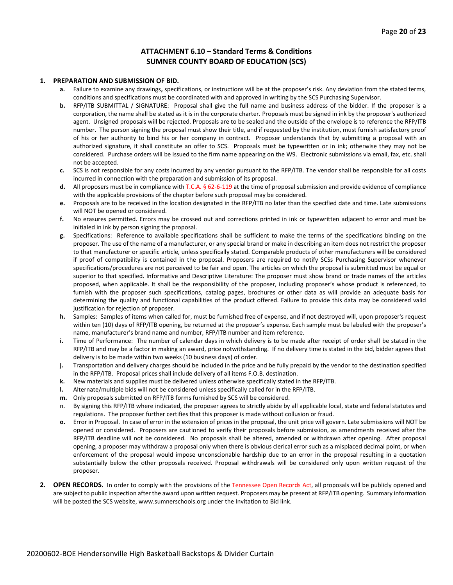#### **ATTACHMENT 6.10 – Standard Terms & Conditions SUMNER COUNTY BOARD OF EDUCATION (SCS)**

#### **1. PREPARATION AND SUBMISSION OF BID.**

- **a.** Failure to examine any drawings**,** specifications, or instructions will be at the proposer's risk. Any deviation from the stated terms, conditions and specifications must be coordinated with and approved in writing by the SCS Purchasing Supervisor.
- **b.** RFP/ITB SUBMITTAL / SIGNATURE: Proposal shall give the full name and business address of the bidder. If the proposer is a corporation, the name shall be stated as it is in the corporate charter. Proposals must be signed in ink by the proposer's authorized agent. Unsigned proposals will be rejected. Proposals are to be sealed and the outside of the envelope is to reference the RFP/ITB number. The person signing the proposal must show their title, and if requested by the institution, must furnish satisfactory proof of his or her authority to bind his or her company in contract. Proposer understands that by submitting a proposal with an authorized signature, it shall constitute an offer to SCS. Proposals must be typewritten or in ink; otherwise they may not be considered. Purchase orders will be issued to the firm name appearing on the W9. Electronic submissions via email, fax, etc. shall not be accepted.
- **c.** SCS is not responsible for any costs incurred by any vendor pursuant to the RFP/ITB. The vendor shall be responsible for all costs incurred in connection with the preparation and submission of its proposal.
- **d.** All proposers must be in compliance with T.C.A. § 62-6-119 at the time of proposal submission and provide evidence of compliance with the applicable provisions of the chapter before such proposal may be considered.
- **e.** Proposals are to be received in the location designated in the RFP/ITB no later than the specified date and time. Late submissions will NOT be opened or considered.
- **f.** No erasures permitted. Errors may be crossed out and corrections printed in ink or typewritten adjacent to error and must be initialed in ink by person signing the proposal.
- **g.** Specifications: Reference to available specifications shall be sufficient to make the terms of the specifications binding on the proposer. The use of the name of a manufacturer, or any special brand or make in describing an item does not restrict the proposer to that manufacturer or specific article, unless specifically stated. Comparable products of other manufacturers will be considered if proof of compatibility is contained in the proposal. Proposers are required to notify SCSs Purchasing Supervisor whenever specifications/procedures are not perceived to be fair and open. The articles on which the proposal is submitted must be equal or superior to that specified. Informative and Descriptive Literature: The proposer must show brand or trade names of the articles proposed, when applicable. It shall be the responsibility of the proposer, including proposer's whose product is referenced, to furnish with the proposer such specifications, catalog pages, brochures or other data as will provide an adequate basis for determining the quality and functional capabilities of the product offered. Failure to provide this data may be considered valid justification for rejection of proposer.
- **h.** Samples: Samples of items when called for, must be furnished free of expense, and if not destroyed will, upon proposer's request within ten (10) days of RFP/ITB opening, be returned at the proposer's expense. Each sample must be labeled with the proposer's name, manufacturer's brand name and number, RFP/ITB number and item reference.
- **i.** Time of Performance: The number of calendar days in which delivery is to be made after receipt of order shall be stated in the RFP/ITB and may be a factor in making an award, price notwithstanding. If no delivery time is stated in the bid, bidder agrees that delivery is to be made within two weeks (10 business days) of order.
- **j.** Transportation and delivery charges should be included in the price and be fully prepaid by the vendor to the destination specified in the RFP/ITB. Proposal prices shall include delivery of all items F.O.B. destination.
- **k.** New materials and supplies must be delivered unless otherwise specifically stated in the RFP/ITB.
- **l.** Alternate/multiple bids will not be considered unless specifically called for in the RFP/ITB.
- **m.** Only proposals submitted on RFP/ITB forms furnished by SCS will be considered.
- n. By signing this RFP/ITB where indicated, the proposer agrees to strictly abide by all applicable local, state and federal statutes and regulations. The proposer further certifies that this proposer is made without collusion or fraud.
- **o.** Error in Proposal. In case of error in the extension of prices in the proposal, the unit price will govern. Late submissions will NOT be opened or considered. Proposers are cautioned to verify their proposals before submission, as amendments received after the RFP/ITB deadline will not be considered. No proposals shall be altered, amended or withdrawn after opening. After proposal opening, a proposer may withdraw a proposal only when there is obvious clerical error such as a misplaced decimal point, or when enforcement of the proposal would impose unconscionable hardship due to an error in the proposal resulting in a quotation substantially below the other proposals received. Proposal withdrawals will be considered only upon written request of the proposer.
- **2. OPEN RECORDS.** In order to comply with the provisions of the Tennessee Open Records Act, all proposals will be publicly opened and are subject to public inspection after the award upon written request. Proposers may be present at RFP/ITB opening. Summary information will be posted the SCS website, www.sumnerschools.org under the Invitation to Bid link.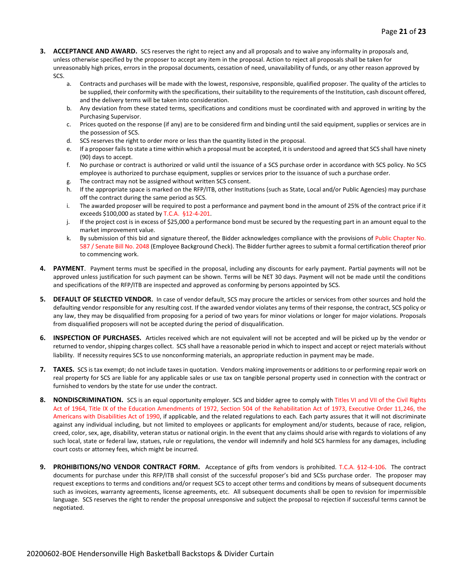- **3. ACCEPTANCE AND AWARD.** SCS reserves the right to reject any and all proposals and to waive any informality in proposals and, unless otherwise specified by the proposer to accept any item in the proposal. Action to reject all proposals shall be taken for unreasonably high prices, errors in the proposal documents, cessation of need, unavailability of funds, or any other reason approved by SCS.
	- a. Contracts and purchases will be made with the lowest, responsive, responsible, qualified proposer. The quality of the articles to be supplied, their conformity with the specifications, their suitability to the requirements of the Institution, cash discount offered, and the delivery terms will be taken into consideration.
	- b. Any deviation from these stated terms, specifications and conditions must be coordinated with and approved in writing by the Purchasing Supervisor.
	- c. Prices quoted on the response (if any) are to be considered firm and binding until the said equipment, supplies or services are in the possession of SCS.
	- d. SCS reserves the right to order more or less than the quantity listed in the proposal.
	- e. If a proposer fails to state a time within which a proposal must be accepted, it is understood and agreed that SCS shall have ninety (90) days to accept.
	- f. No purchase or contract is authorized or valid until the issuance of a SCS purchase order in accordance with SCS policy. No SCS employee is authorized to purchase equipment, supplies or services prior to the issuance of such a purchase order.
	- g. The contract may not be assigned without written SCS consent.
	- h. If the appropriate space is marked on the RFP/ITB, other Institutions (such as State, Local and/or Public Agencies) may purchase off the contract during the same period as SCS.
	- i. The awarded proposer will be required to post a performance and payment bond in the amount of 25% of the contract price if it exceeds \$100,000 as stated by T.C.A. §12-4-201.
	- j. If the project cost is in excess of \$25,000 a performance bond must be secured by the requesting part in an amount equal to the market improvement value.
	- k. By submission of this bid and signature thereof, the Bidder acknowledges compliance with the provisions of Public Chapter No. 587 / Senate Bill No. 2048 (Employee Background Check). The Bidder further agrees to submit a formal certification thereof prior to commencing work.
- **4. PAYMENT**. Payment terms must be specified in the proposal, including any discounts for early payment. Partial payments will not be approved unless justification for such payment can be shown. Terms will be NET 30 days. Payment will not be made until the conditions and specifications of the RFP/ITB are inspected and approved as conforming by persons appointed by SCS.
- **5. DEFAULT OF SELECTED VENDOR.** In case of vendor default, SCS may procure the articles or services from other sources and hold the defaulting vendor responsible for any resulting cost. If the awarded vendor violates any terms of their response, the contract, SCS policy or any law, they may be disqualified from proposing for a period of two years for minor violations or longer for major violations. Proposals from disqualified proposers will not be accepted during the period of disqualification.
- **6. INSPECTION OF PURCHASES.** Articles received which are not equivalent will not be accepted and will be picked up by the vendor or returned to vendor, shipping charges collect. SCS shall have a reasonable period in which to inspect and accept or reject materials without liability. If necessity requires SCS to use nonconforming materials, an appropriate reduction in payment may be made.
- **7. TAXES.** SCS is tax exempt; do not include taxes in quotation. Vendors making improvements or additions to or performing repair work on real property for SCS are liable for any applicable sales or use tax on tangible personal property used in connection with the contract or furnished to vendors by the state for use under the contract.
- **8. NONDISCRIMINATION.** SCS is an equal opportunity employer. SCS and bidder agree to comply with Titles VI and VII of the Civil Rights Act of 1964, Title IX of the Education Amendments of 1972, Section 504 of the Rehabilitation Act of 1973, Executive Order 11,246, the Americans with Disabilities Act of 1990, if applicable, and the related regulations to each. Each party assures that it will not discriminate against any individual including, but not limited to employees or applicants for employment and/or students, because of race, religion, creed, color, sex, age, disability, veteran status or national origin. In the event that any claims should arise with regards to violations of any such local, state or federal law, statues, rule or regulations, the vendor will indemnify and hold SCS harmless for any damages, including court costs or attorney fees, which might be incurred.
- **9. PROHIBITIONS/NO VENDOR CONTRACT FORM.** Acceptance of gifts from vendors is prohibited. T.C.A. §12-4-106. The contract documents for purchase under this RFP/ITB shall consist of the successful proposer's bid and SCSs purchase order. The proposer may request exceptions to terms and conditions and/or request SCS to accept other terms and conditions by means of subsequent documents such as invoices, warranty agreements, license agreements, etc. All subsequent documents shall be open to revision for impermissible language. SCS reserves the right to render the proposal unresponsive and subject the proposal to rejection if successful terms cannot be negotiated.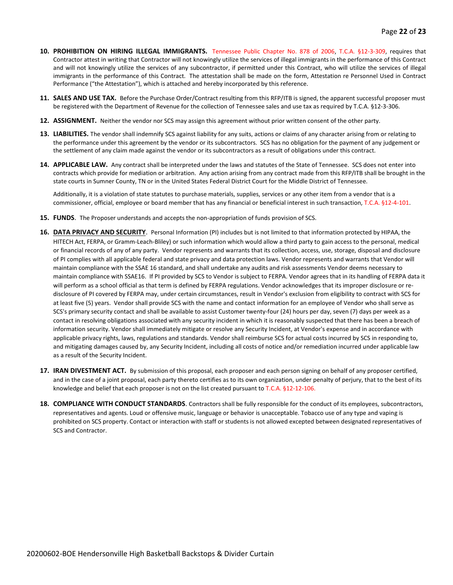- **10. PROHIBITION ON HIRING ILLEGAL IMMIGRANTS.** Tennessee Public Chapter No. 878 of 2006, T.C.A. §12-3-309, requires that Contractor attest in writing that Contractor will not knowingly utilize the services of illegal immigrants in the performance of this Contract and will not knowingly utilize the services of any subcontractor, if permitted under this Contract, who will utilize the services of illegal immigrants in the performance of this Contract. The attestation shall be made on the form, Attestation re Personnel Used in Contract Performance ("the Attestation"), which is attached and hereby incorporated by this reference.
- **11. SALES AND USE TAX.** Before the Purchase Order/Contract resulting from this RFP/ITB is signed, the apparent successful proposer must be registered with the Department of Revenue for the collection of Tennessee sales and use tax as required by T.C.A. §12-3-306.
- **12. ASSIGNMENT.** Neither the vendor nor SCS may assign this agreement without prior written consent of the other party.
- **13. LIABILITIES.** The vendor shall indemnify SCS against liability for any suits, actions or claims of any character arising from or relating to the performance under this agreement by the vendor or its subcontractors. SCS has no obligation for the payment of any judgement or the settlement of any claim made against the vendor or its subcontractors as a result of obligations under this contract.
- **14. APPLICABLE LAW.** Any contract shall be interpreted under the laws and statutes of the State of Tennessee. SCS does not enter into contracts which provide for mediation or arbitration. Any action arising from any contract made from this RFP/ITB shall be brought in the state courts in Sumner County, TN or in the United States Federal District Court for the Middle District of Tennessee.

Additionally, it is a violation of state statutes to purchase materials, supplies, services or any other item from a vendor that is a commissioner, official, employee or board member that has any financial or beneficial interest in such transaction, T.C.A. §12-4-101.

- **15. FUNDS**. The Proposer understands and accepts the non-appropriation of funds provision of SCS.
- **16. DATA PRIVACY AND SECURITY**. Personal Information (PI) includes but is not limited to that information protected by HIPAA, the HITECH Act, FERPA, or Gramm-Leach-Bliley) or such information which would allow a third party to gain access to the personal, medical or financial records of any of any party. Vendor represents and warrants that its collection, access, use, storage, disposal and disclosure of PI complies with all applicable federal and state privacy and data protection laws. Vendor represents and warrants that Vendor will maintain compliance with the SSAE 16 standard, and shall undertake any audits and risk assessments Vendor deems necessary to maintain compliance with SSAE16. If PI provided by SCS to Vendor is subject to FERPA. Vendor agrees that in its handling of FERPA data it will perform as a school official as that term is defined by FERPA regulations. Vendor acknowledges that its improper disclosure or redisclosure of PI covered by FERPA may, under certain circumstances, result in Vendor's exclusion from eligibility to contract with SCS for at least five (5) years. Vendor shall provide SCS with the name and contact information for an employee of Vendor who shall serve as SCS's primary security contact and shall be available to assist Customer twenty-four (24) hours per day, seven (7) days per week as a contact in resolving obligations associated with any security incident in which it is reasonably suspected that there has been a breach of information security. Vendor shall immediately mitigate or resolve any Security Incident, at Vendor's expense and in accordance with applicable privacy rights, laws, regulations and standards. Vendor shall reimburse SCS for actual costs incurred by SCS in responding to, and mitigating damages caused by, any Security Incident, including all costs of notice and/or remediation incurred under applicable law as a result of the Security Incident.
- **17. IRAN DIVESTMENT ACT.** By submission of this proposal, each proposer and each person signing on behalf of any proposer certified, and in the case of a joint proposal, each party thereto certifies as to its own organization, under penalty of perjury, that to the best of its knowledge and belief that each proposer is not on the list created pursuant to T.C.A. §12-12-106.
- **18. COMPLIANCE WITH CONDUCT STANDARDS**. Contractors shall be fully responsible for the conduct of its employees, subcontractors, representatives and agents. Loud or offensive music, language or behavior is unacceptable. Tobacco use of any type and vaping is prohibited on SCS property. Contact or interaction with staff or students is not allowed excepted between designated representatives of SCS and Contractor.